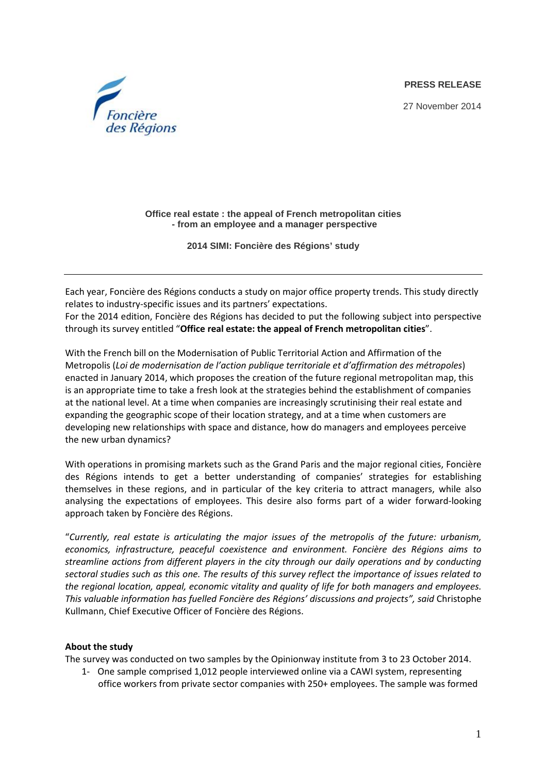**PRESS RELEASE**

27 November 2014



**Office real estate : the appeal of French metropolitan cities - from an employee and a manager perspective** 

**2014 SIMI: Foncière des Régions' study** 

Each year, Foncière des Régions conducts a study on major office property trends. This study directly relates to industry‐specific issues and its partners' expectations. For the 2014 edition, Foncière des Régions has decided to put the following subject into perspective through its survey entitled "**Office real estate: the appeal of French metropolitan cities**".

With the French bill on the Modernisation of Public Territorial Action and Affirmation of the Metropolis (*Loi de modernisation de l'action publique territoriale et d'affirmation des métropoles*) enacted in January 2014, which proposes the creation of the future regional metropolitan map, this is an appropriate time to take a fresh look at the strategies behind the establishment of companies at the national level. At a time when companies are increasingly scrutinising their real estate and expanding the geographic scope of their location strategy, and at a time when customers are developing new relationships with space and distance, how do managers and employees perceive the new urban dynamics?

With operations in promising markets such as the Grand Paris and the major regional cities, Foncière des Régions intends to get a better understanding of companies' strategies for establishing themselves in these regions, and in particular of the key criteria to attract managers, while also analysing the expectations of employees. This desire also forms part of a wider forward‐looking approach taken by Foncière des Régions.

"*Currently, real estate is articulating the major issues of the metropolis of the future: urbanism, economics, infrastructure, peaceful coexistence and environment. Foncière des Régions aims to streamline actions from different players in the city through our daily operations and by conducting* sectoral studies such as this one. The results of this survey reflect the importance of issues related to *the regional location, appeal, economic vitality and quality of life for both managers and employees. This valuable information has fuelled Foncière des Régions' discussions and projects", said* Christophe Kullmann, Chief Executive Officer of Foncière des Régions.

### **About the study**

The survey was conducted on two samples by the Opinionway institute from 3 to 23 October 2014.

1‐ One sample comprised 1,012 people interviewed online via a CAWI system, representing office workers from private sector companies with 250+ employees. The sample was formed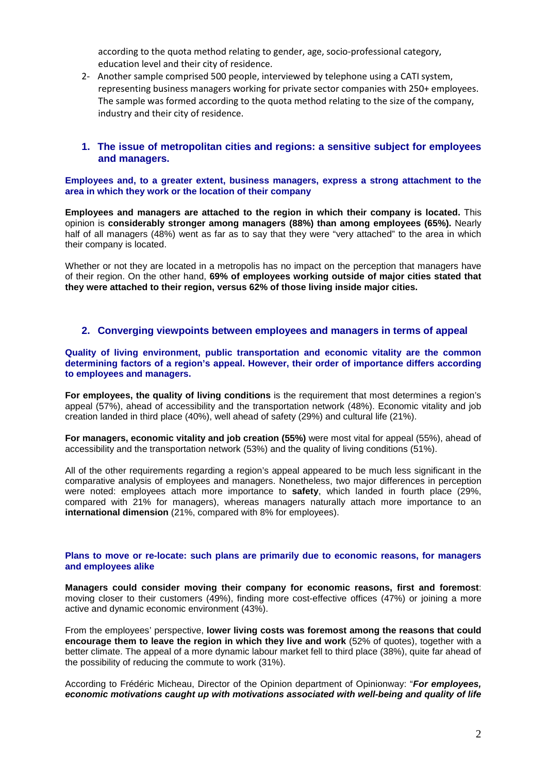according to the quota method relating to gender, age, socio‐professional category, education level and their city of residence.

2‐ Another sample comprised 500 people, interviewed by telephone using a CATI system, representing business managers working for private sector companies with 250+ employees. The sample was formed according to the quota method relating to the size of the company, industry and their city of residence.

#### **1. The issue of metropolitan cities and regions: a sensitive subject for employees and managers.**

**Employees and, to a greater extent, business managers, express a strong attachment to the area in which they work or the location of their company**

**Employees and managers are attached to the region in which their company is located.** This opinion is **considerably stronger among managers (88%) than among employees (65%).** Nearly half of all managers (48%) went as far as to say that they were "very attached" to the area in which their company is located.

Whether or not they are located in a metropolis has no impact on the perception that managers have of their region. On the other hand, **69% of employees working outside of major cities stated that they were attached to their region, versus 62% of those living inside major cities.**

# **2. Converging viewpoints between employees and managers in terms of appeal**

**Quality of living environment, public transportation and economic vitality are the common determining factors of a region's appeal. However, their order of importance differs according to employees and managers.** 

**For employees, the quality of living conditions** is the requirement that most determines a region's appeal (57%), ahead of accessibility and the transportation network (48%). Economic vitality and job creation landed in third place (40%), well ahead of safety (29%) and cultural life (21%).

**For managers, economic vitality and job creation (55%)** were most vital for appeal (55%), ahead of accessibility and the transportation network (53%) and the quality of living conditions (51%).

All of the other requirements regarding a region's appeal appeared to be much less significant in the comparative analysis of employees and managers. Nonetheless, two major differences in perception were noted: employees attach more importance to **safety**, which landed in fourth place (29%, compared with 21% for managers), whereas managers naturally attach more importance to an **international dimension** (21%, compared with 8% for employees).

#### **Plans to move or re-locate: such plans are primarily due to economic reasons, for managers and employees alike**

**Managers could consider moving their company for economic reasons, first and foremost**: moving closer to their customers (49%), finding more cost-effective offices (47%) or joining a more active and dynamic economic environment (43%).

From the employees' perspective, **lower living costs was foremost among the reasons that could encourage them to leave the region in which they live and work** (52% of quotes), together with a better climate. The appeal of a more dynamic labour market fell to third place (38%), quite far ahead of the possibility of reducing the commute to work (31%).

According to Frédéric Micheau, Director of the Opinion department of Opinionway: "*For employees, economic motivations caught up with motivations associated with well-being and quality of life*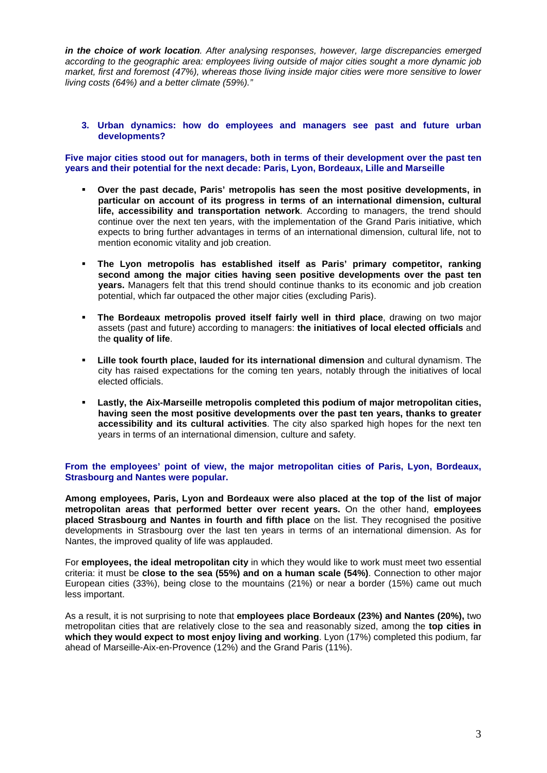*in the choice of work location. After analysing responses, however, large discrepancies emerged according to the geographic area: employees living outside of major cities sought a more dynamic job market, first and foremost (47%), whereas those living inside major cities were more sensitive to lower living costs (64%) and a better climate (59%)."*

**3. Urban dynamics: how do employees and managers see past and future urban developments?** 

**Five major cities stood out for managers, both in terms of their development over the past ten years and their potential for the next decade: Paris, Lyon, Bordeaux, Lille and Marseille** 

- **Over the past decade, Paris' metropolis has seen the most positive developments, in particular on account of its progress in terms of an international dimension, cultural life, accessibility and transportation network**. According to managers, the trend should continue over the next ten years, with the implementation of the Grand Paris initiative, which expects to bring further advantages in terms of an international dimension, cultural life, not to mention economic vitality and job creation.
- **The Lyon metropolis has established itself as Paris' primary competitor, ranking second among the major cities having seen positive developments over the past ten years.** Managers felt that this trend should continue thanks to its economic and job creation potential, which far outpaced the other major cities (excluding Paris).
- **The Bordeaux metropolis proved itself fairly well in third place**, drawing on two major assets (past and future) according to managers: **the initiatives of local elected officials** and the **quality of life**.
- **Lille took fourth place, lauded for its international dimension** and cultural dynamism. The city has raised expectations for the coming ten years, notably through the initiatives of local elected officials.
- **Lastly, the Aix-Marseille metropolis completed this podium of major metropolitan cities, having seen the most positive developments over the past ten years, thanks to greater accessibility and its cultural activities**. The city also sparked high hopes for the next ten years in terms of an international dimension, culture and safety.

**From the employees' point of view, the major metropolitan cities of Paris, Lyon, Bordeaux, Strasbourg and Nantes were popular.** 

**Among employees, Paris, Lyon and Bordeaux were also placed at the top of the list of major metropolitan areas that performed better over recent years.** On the other hand, **employees placed Strasbourg and Nantes in fourth and fifth place** on the list. They recognised the positive developments in Strasbourg over the last ten years in terms of an international dimension. As for Nantes, the improved quality of life was applauded.

For **employees, the ideal metropolitan city** in which they would like to work must meet two essential criteria: it must be **close to the sea (55%) and on a human scale (54%)**. Connection to other major European cities (33%), being close to the mountains (21%) or near a border (15%) came out much less important.

As a result, it is not surprising to note that **employees place Bordeaux (23%) and Nantes (20%),** two metropolitan cities that are relatively close to the sea and reasonably sized, among the **top cities in which they would expect to most enjoy living and working**. Lyon (17%) completed this podium, far ahead of Marseille-Aix-en-Provence (12%) and the Grand Paris (11%).